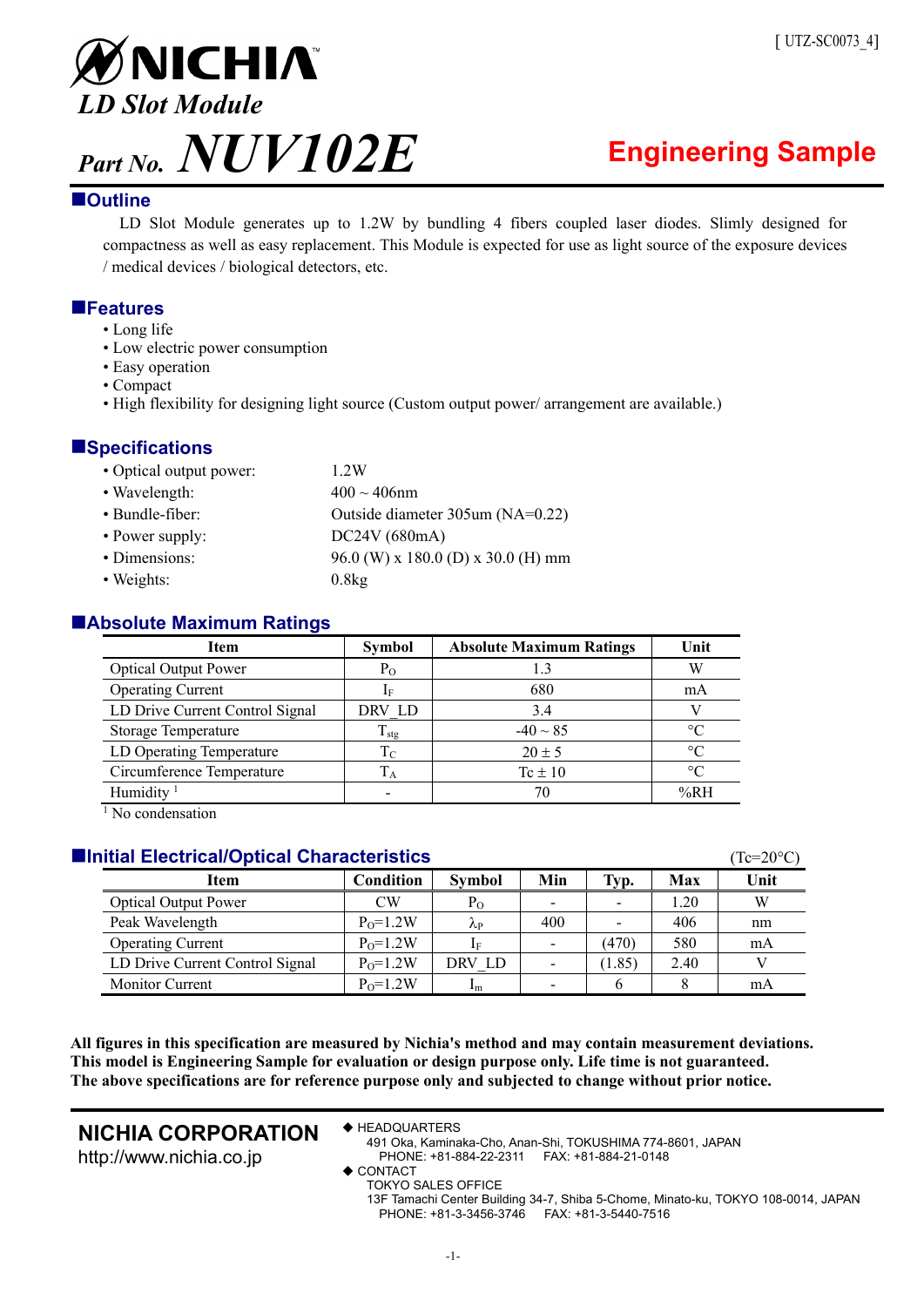

# **Outline**

LD Slot Module generates up to 1.2W by bundling 4 fibers coupled laser diodes. Slimly designed for compactness as well as easy replacement. This Module is expected for use as light source of the exposure devices / medical devices / biological detectors, etc.

# **Features**

- Long life
- Low electric power consumption
- Easy operation
- Compact
- High flexibility for designing light source (Custom output power/ arrangement are available.)

# **Specifications**

| • Optical output power: | 1.2W                               |
|-------------------------|------------------------------------|
| • Wavelength:           | $400 \sim 406$ nm                  |
| • Bundle-fiber:         | Outside diameter 305um (NA=0.22)   |
| • Power supply:         | DC24V (680mA)                      |
| • Dimensions:           | 96.0 (W) x 180.0 (D) x 30.0 (H) mm |
| • Weights:              | 0.8kg                              |

## **Absolute Maximum Ratings**

| Item                            | <b>Symbol</b>     | <b>Absolute Maximum Ratings</b> | Unit            |
|---------------------------------|-------------------|---------------------------------|-----------------|
| <b>Optical Output Power</b>     | $P_{O}$           | 1.3                             | W               |
| <b>Operating Current</b>        | If                | 680                             | mA              |
| LD Drive Current Control Signal | DRV LD            | 3.4                             |                 |
| <b>Storage Temperature</b>      | $\rm T_{\rm stg}$ | $-40 \sim 85$                   | $^{\circ}C$     |
| LD Operating Temperature        | $\rm T_C$         | $20 \pm 5$                      | $\circ$ C       |
| Circumference Temperature       | $T_A$             | $Tc \pm 10$                     | $\rm ^{\circ}C$ |
| Humidity <sup>1</sup>           |                   |                                 | %RH             |

<sup>1</sup> No condensation

## **Initial Electrical/Optical Characteristics** *Characteristics Characteristics**C***<sub>C=20°C</sub>**

| Item                            | Condition    | <b>Symbol</b>  | Min | Typ.   | Max  | Unit |
|---------------------------------|--------------|----------------|-----|--------|------|------|
| <b>Optical Output Power</b>     | CW           | Po             |     |        | 1.20 | W    |
| Peak Wavelength                 | $P_0 = 1.2W$ | λp             | 400 |        | 406  | nm   |
| <b>Operating Current</b>        | $P_0 = 1.2W$ | 1F             |     | (470)  | 580  | mA   |
| LD Drive Current Control Signal | $P_0 = 1.2W$ | DRV LD         |     | (1.85) | 2.40 |      |
| <b>Monitor Current</b>          | $P_0 = 1.2W$ | 1 <sub>m</sub> |     |        |      | mA   |

**All figures in this specification are measured by Nichia's method and may contain measurement deviations. This model is Engineering Sample for evaluation or design purpose only. Life time is not guaranteed. The above specifications are for reference purpose only and subjected to change without prior notice.** 

# **NICHIA CORPORATION**

http://www.nichia.co.jp

◆ HEADQUARTERS

491 Oka, Kaminaka-Cho, Anan-Shi, TOKUSHIMA 774-8601, JAPAN PHONE: +81-884-22-2311 FAX: +81-884-21-0148

◆ CONTACT

TOKYO SALES OFFICE

13F Tamachi Center Building 34-7, Shiba 5-Chome, Minato-ku, TOKYO 108-0014, JAPAN PHONE: +81-3-3456-3746 FAX: +81-3-5440-7516